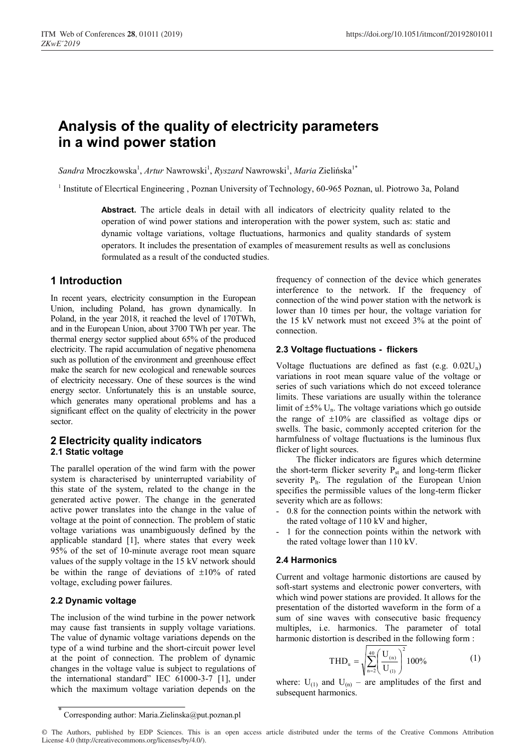# **Analysis of the quality of electricity parameters in a wind power station**

 $Sandra$  Mroczkowska<sup>1</sup>, Artur Nawrowski<sup>1</sup>, *Ryszard* Nawrowski<sup>1</sup>, *Maria* Zielińska<sup>1\*</sup>

<sup>1</sup> Institute of Elecrtical Engineering , Poznan University of Technology, 60-965 Poznan, ul. Piotrowo 3a, Poland

**Abstract.** The article deals in detail with all indicators of electricity quality related to the operation of wind power stations and interoperation with the power system, such as: static and dynamic voltage variations, voltage fluctuations, harmonics and quality standards of system operators. It includes the presentation of examples of measurement results as well as conclusions formulated as a result of the conducted studies.

# **1 Introduction**

In recent years, electricity consumption in the European Union, including Poland, has grown dynamically. In Poland, in the year 2018, it reached the level of 170TWh, and in the European Union, about 3700 TWh per year. The thermal energy sector supplied about 65% of the produced electricity. The rapid accumulation of negative phenomena such as pollution of the environment and greenhouse effect make the search for new ecological and renewable sources of electricity necessary. One of these sources is the wind energy sector. Unfortunately this is an unstable source, which generates many operational problems and has a significant effect on the quality of electricity in the power sector.

# **2 Electricity quality indicators 2.1 Static voltage**

The parallel operation of the wind farm with the power system is characterised by uninterrupted variability of this state of the system, related to the change in the generated active power. The change in the generated active power translates into the change in the value of voltage at the point of connection. The problem of static voltage variations was unambiguously defined by the applicable standard [1], where states that every week 95% of the set of 10-minute average root mean square values of the supply voltage in the 15 kV network should be within the range of deviations of  $\pm 10\%$  of rated voltage, excluding power failures.

# **2.2 Dynamic voltage**

The inclusion of the wind turbine in the power network may cause fast transients in supply voltage variations. The value of dynamic voltage variations depends on the type of a wind turbine and the short-circuit power level at the point of connection. The problem of dynamic changes in the voltage value is subject to regulations of the international standard" IEC 61000-3-7 [1], under which the maximum voltage variation depends on the

frequency of connection of the device which generates interference to the network. If the frequency of connection of the wind power station with the network is lower than 10 times per hour, the voltage variation for the 15 kV network must not exceed 3% at the point of connection.

# **2.3 Voltage fluctuations - flickers**

Voltage fluctuations are defined as fast (e.g.  $0.02U_n$ ) variations in root mean square value of the voltage or series of such variations which do not exceed tolerance limits. These variations are usually within the tolerance limit of  $\pm 5\%$  U<sub>n</sub>. The voltage variations which go outside the range of  $\pm 10\%$  are classified as voltage dips or swells. The basic, commonly accepted criterion for the harmfulness of voltage fluctuations is the luminous flux flicker of light sources.

The flicker indicators are figures which determine the short-term flicker severity  $P_{st}$  and long-term flicker severity  $P_{lt}$ . The regulation of the European Union specifies the permissible values of the long-term flicker severity which are as follows:

- 0.8 for the connection points within the network with the rated voltage of 110 kV and higher,
- 1 for the connection points within the network with the rated voltage lower than 110 kV.

# **2.4 Harmonics**

Current and voltage harmonic distortions are caused by soft-start systems and electronic power converters, with which wind power stations are provided. It allows for the presentation of the distorted waveform in the form of a sum of sine waves with consecutive basic frequency multiples, i.e. harmonics. The parameter of total harmonic distortion is described in the following form :

$$
THD_{u} = \sqrt{\sum_{n=2}^{40} \left(\frac{U_{(n)}}{U_{(1)}}\right)^{2}} 100\% \tag{1}
$$

where:  $U_{(1)}$  and  $U_{(n)}$  – are amplitudes of the first and subsequent harmonics.

Corresponding author: Maria.Zielinska@put.poznan.pl

<sup>©</sup> The Authors, published by EDP Sciences. This is an open access article distributed under the terms of the Creative Commons Attribution License 4.0 (http://creativecommons.org/licenses/by/4.0/).